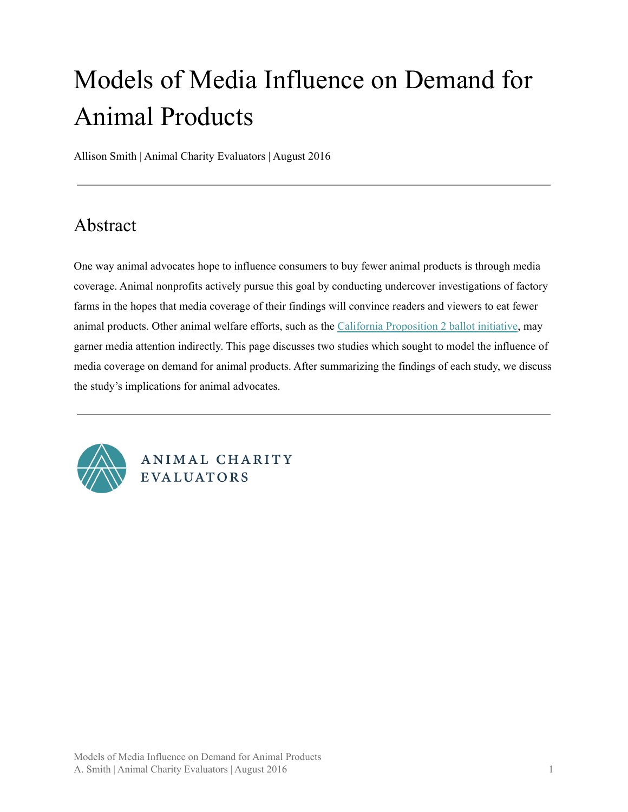# Models of Media Influence on Demand for Animal Products

Allison Smith | Animal Charity Evaluators | August 2016

# <span id="page-0-0"></span>Abstract

One way animal advocates hope to influence consumers to buy fewer animal products is through media coverage. Animal nonprofits actively pursue this goal by conducting undercover investigations of factory farms in the hopes that media coverage of their findings will convince readers and viewers to eat fewer animal products. Other animal welfare efforts, such as the California [Proposition](https://en.wikipedia.org/wiki/California_Proposition_2_(2008)) 2 ballot initiative, may garner media attention indirectly. This page discusses two studies which sought to model the influence of media coverage on demand for animal products. After summarizing the findings of each study, we discuss the study's implications for animal advocates.



ANIMAL CHARITY **EVALUATORS**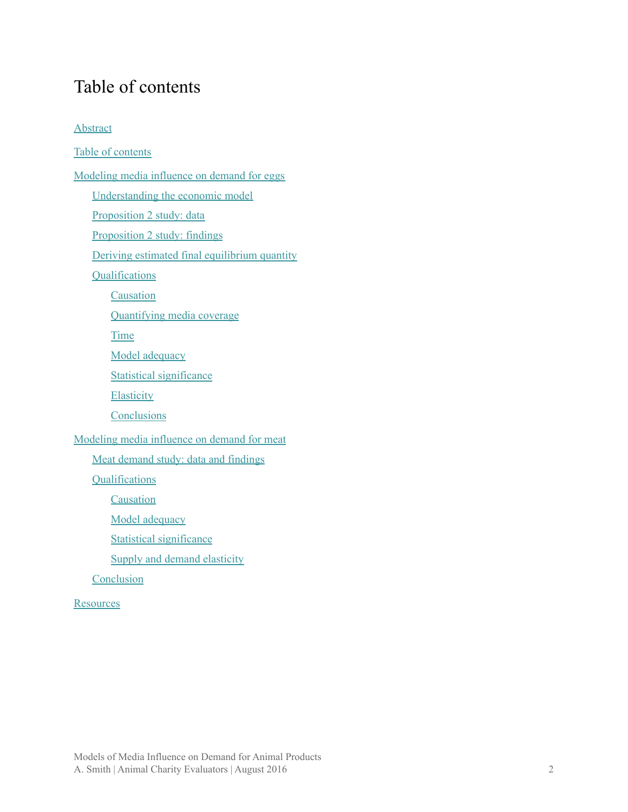# <span id="page-1-0"></span>Table of contents

#### **[Abstract](#page-0-0)**

Table of [contents](#page-1-0) [Modeling](#page-2-0) media influence on demand for eggs [Understanding](#page-2-1) the economic model [Proposition](#page-3-0) 2 study: data [Proposition](#page-3-1) 2 study: findings Deriving estimated final [equilibrium](#page-4-0) quantity **[Qualifications](#page-6-0) [Causation](#page-6-1)** [Quantifying](#page-7-0) media coverage **[Time](#page-7-1)** Model [adequacy](#page-8-0) Statistical [significance](#page-8-1) **[Elasticity](#page-8-2) [Conclusions](#page-9-0)** [Modeling](#page-9-1) media influence on demand for meat Meat demand study: data and [findings](#page-10-0) **[Qualifications](#page-12-0) [Causation](#page-12-1)** Model [adequacy](#page-13-0) Statistical [significance](#page-13-1) Supply and demand [elasticity](#page-13-2) **[Conclusion](#page-13-3) [Resources](#page-14-0)**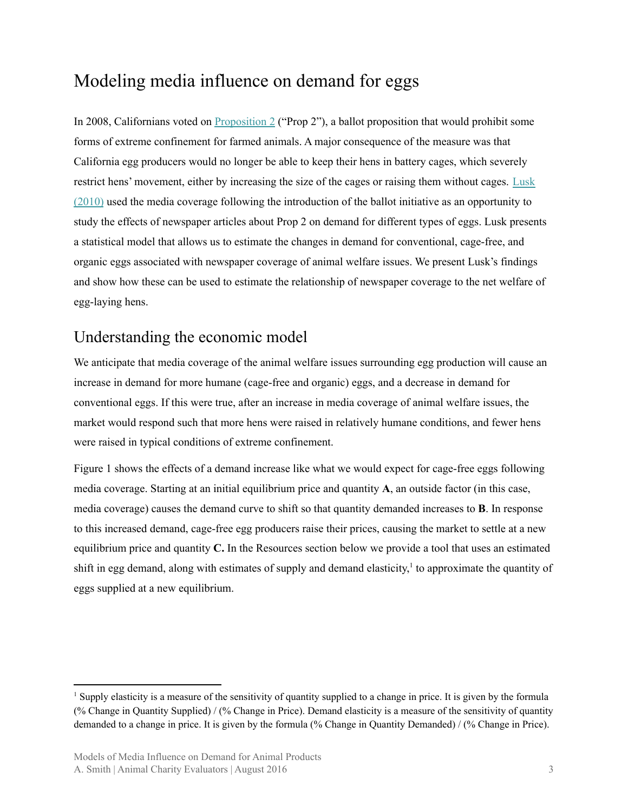# <span id="page-2-0"></span>Modeling media influence on demand for eggs

In 2008, Californians voted on [Proposition](https://en.wikipedia.org/wiki/California_Proposition_2_(2008)) 2 ("Prop 2"), a ballot proposition that would prohibit some forms of extreme confinement for farmed animals. A major consequence of the measure was that California egg producers would no longer be able to keep their hens in battery cages, which severely restrict hens' movement, either by increasing the size of the cages or raising them without cages. [Lusk](https://www.researchgate.net/publication/46556611_The_Effect_of_Proposition_2_on_the_Demand_for_Eggs_in_California) [\(2010\)](https://www.researchgate.net/publication/46556611_The_Effect_of_Proposition_2_on_the_Demand_for_Eggs_in_California) used the media coverage following the introduction of the ballot initiative as an opportunity to study the effects of newspaper articles about Prop 2 on demand for different types of eggs. Lusk presents a statistical model that allows us to estimate the changes in demand for conventional, cage-free, and organic eggs associated with newspaper coverage of animal welfare issues. We present Lusk's findings and show how these can be used to estimate the relationship of newspaper coverage to the net welfare of egg-laying hens.

### <span id="page-2-1"></span>Understanding the economic model

We anticipate that media coverage of the animal welfare issues surrounding egg production will cause an increase in demand for more humane (cage-free and organic) eggs, and a decrease in demand for conventional eggs. If this were true, after an increase in media coverage of animal welfare issues, the market would respond such that more hens were raised in relatively humane conditions, and fewer hens were raised in typical conditions of extreme confinement.

Figure 1 shows the effects of a demand increase like what we would expect for cage-free eggs following media coverage. Starting at an initial equilibrium price and quantity **A**, an outside factor (in this case, media coverage) causes the demand curve to shift so that quantity demanded increases to **B**. In response to this increased demand, cage-free egg producers raise their prices, causing the market to settle at a new equilibrium price and quantity **C.** In the Resources section below we provide a tool that uses an estimated shift in egg demand, along with estimates of supply and demand elasticity,<sup>1</sup> to approximate the quantity of eggs supplied at a new equilibrium.

<sup>&</sup>lt;sup>1</sup> Supply elasticity is a measure of the sensitivity of quantity supplied to a change in price. It is given by the formula (% Change in Quantity Supplied) / (% Change in Price). Demand elasticity is a measure of the sensitivity of quantity demanded to a change in price. It is given by the formula (% Change in Quantity Demanded) / (% Change in Price).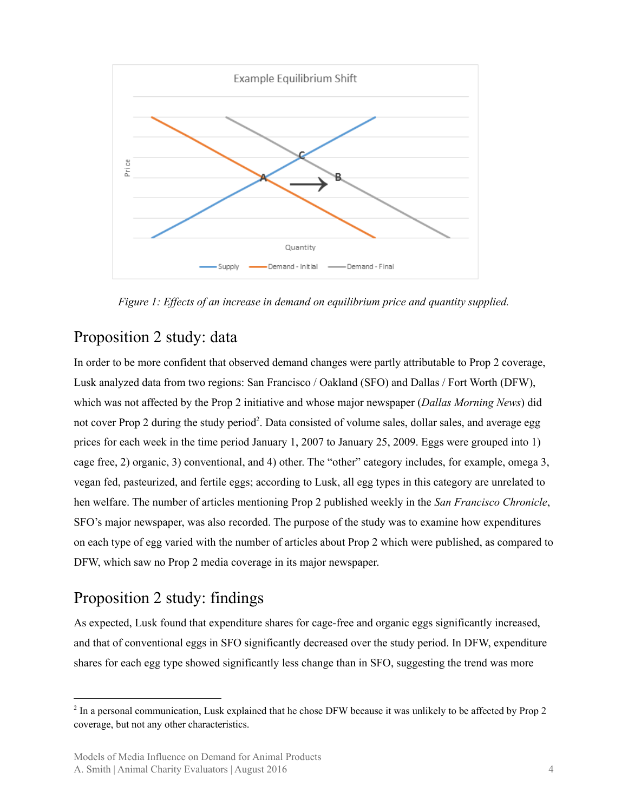

*Figure 1: Ef ects of an increase in demand on equilibrium price and quantity supplied.*

# <span id="page-3-0"></span>Proposition 2 study: data

In order to be more confident that observed demand changes were partly attributable to Prop 2 coverage, Lusk analyzed data from two regions: San Francisco / Oakland (SFO) and Dallas / Fort Worth (DFW), which was not affected by the Prop 2 initiative and whose major newspaper (*Dallas Morning News*) did not cover Prop 2 during the study period<sup>2</sup>. Data consisted of volume sales, dollar sales, and average egg prices for each week in the time period January 1, 2007 to January 25, 2009. Eggs were grouped into 1) cage free, 2) organic, 3) conventional, and 4) other. The "other" category includes, for example, omega 3, vegan fed, pasteurized, and fertile eggs; according to Lusk, all egg types in this category are unrelated to hen welfare. The number of articles mentioning Prop 2 published weekly in the *San Francisco Chronicle*, SFO's major newspaper, was also recorded. The purpose of the study was to examine how expenditures on each type of egg varied with the number of articles about Prop 2 which were published, as compared to DFW, which saw no Prop 2 media coverage in its major newspaper.

# <span id="page-3-1"></span>Proposition 2 study: findings

As expected, Lusk found that expenditure shares for cage-free and organic eggs significantly increased, and that of conventional eggs in SFO significantly decreased over the study period. In DFW, expenditure shares for each egg type showed significantly less change than in SFO, suggesting the trend was more

<sup>&</sup>lt;sup>2</sup> In a personal communication, Lusk explained that he chose DFW because it was unlikely to be affected by Prop 2 coverage, but not any other characteristics.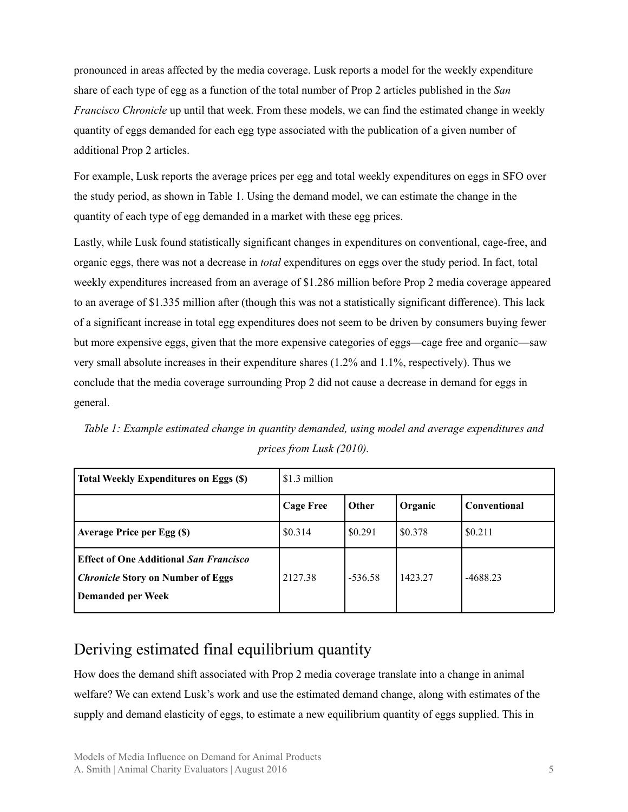pronounced in areas affected by the media coverage. Lusk reports a model for the weekly expenditure share of each type of egg as a function of the total number of Prop 2 articles published in the *San Francisco Chronicle* up until that week. From these models, we can find the estimated change in weekly quantity of eggs demanded for each egg type associated with the publication of a given number of additional Prop 2 articles.

For example, Lusk reports the average prices per egg and total weekly expenditures on eggs in SFO over the study period, as shown in Table 1. Using the demand model, we can estimate the change in the quantity of each type of egg demanded in a market with these egg prices.

Lastly, while Lusk found statistically significant changes in expenditures on conventional, cage-free, and organic eggs, there was not a decrease in *total* expenditures on eggs over the study period. In fact, total weekly expenditures increased from an average of \$1.286 million before Prop 2 media coverage appeared to an average of \$1.335 million after (though this was not a statistically significant difference). This lack of a significant increase in total egg expenditures does not seem to be driven by consumers buying fewer but more expensive eggs, given that the more expensive categories of eggs—cage free and organic—saw very small absolute increases in their expenditure shares (1.2% and 1.1%, respectively). Thus we conclude that the media coverage surrounding Prop 2 did not cause a decrease in demand for eggs in general.

| Total Weekly Expenditures on Eggs (\$)                                                                                | \$1.3 million    |           |         |              |
|-----------------------------------------------------------------------------------------------------------------------|------------------|-----------|---------|--------------|
|                                                                                                                       | <b>Cage Free</b> | Other     | Organic | Conventional |
| <b>Average Price per Egg (\$)</b>                                                                                     | \$0.314          | \$0.291   | \$0.378 | \$0.211      |
| <b>Effect of One Additional San Francisco</b><br><i>Chronicle</i> Story on Number of Eggs<br><b>Demanded per Week</b> | 2127.38          | $-536.58$ | 1423.27 | $-4688.23$   |

*Table 1: Example estimated change in quantity demanded, using model and average expenditures and prices from Lusk (2010).*

# <span id="page-4-0"></span>Deriving estimated final equilibrium quantity

How does the demand shift associated with Prop 2 media coverage translate into a change in animal welfare? We can extend Lusk's work and use the estimated demand change, along with estimates of the supply and demand elasticity of eggs, to estimate a new equilibrium quantity of eggs supplied. This in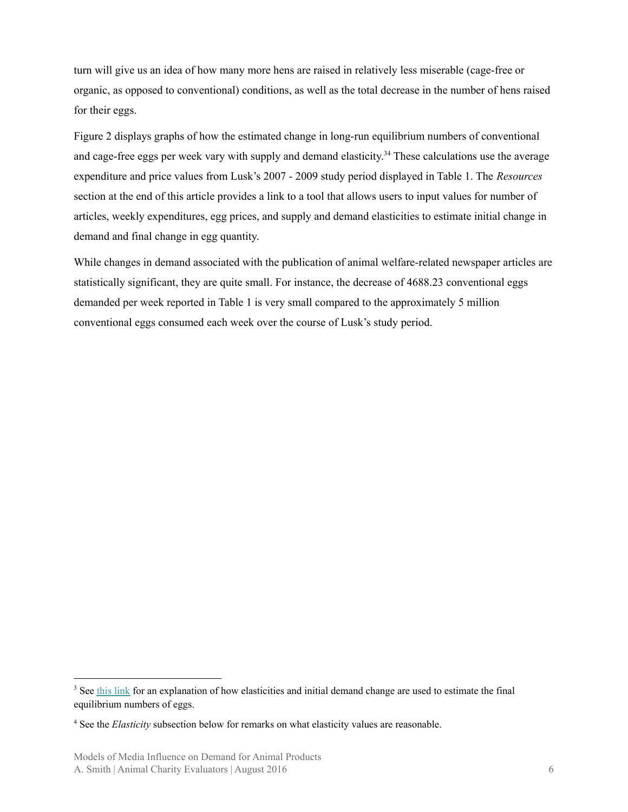turn will give us an idea of how many more hens are raised in relatively less miserable (cage-free or organic, as opposed to conventional) conditions, as well as the total decrease in the number of hens raised for their eggs.

Figure 2 displays graphs of how the estimated change in long-run equilibrium numbers of conventional and cage-free eggs per week vary with supply and demand elasticity.<sup>34</sup> These calculations use the average expenditure and price values from Lusk's 2007 - 2009 study period displayed in Table 1. The *Resources* section at the end of this article provides a link to a tool that allows users to input values for number of articles, weekly expenditures, egg prices, and supply and demand elasticities to estimate initial change in demand and final change in egg quantity.

While changes in demand associated with the publication of animal welfare-related newspaper articles are statistically significant, they are quite small. For instance, the decrease of 4688.23 conventional eggs demanded per week reported in Table 1 is very small compared to the approximately 5 million conventional eggs consumed each week over the course of Lusk's study period.

<sup>&</sup>lt;sup>3</sup> See this [link](https://www.animalcharityevaluators.org/wp-content/uploads/2013/12/cef.pdf) for an explanation of how elasticities and initial demand change are used to estimate the final equilibrium numbers of eggs.

<sup>4</sup> See the *Elasticity* subsection below for remarks on what elasticity values are reasonable.

Models of Media Influence on Demand for Animal Products A. Smith | Animal Charity Evaluators | August 2016 6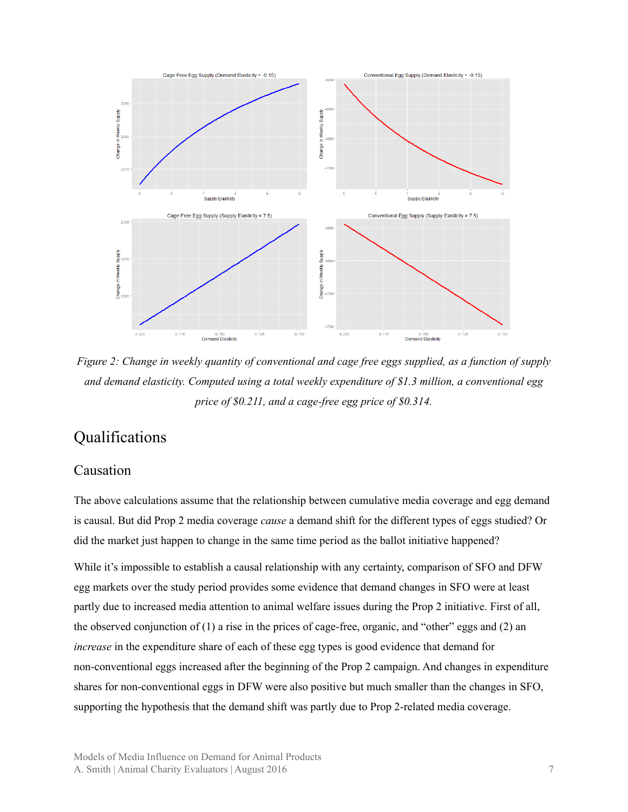

Figure 2: Change in weekly quantity of conventional and cage free eggs supplied, as a function of supply *and demand elasticity. Computed using a total weekly expenditure of \$1.3 million, a conventional egg price of \$0.211, and a cage-free egg price of \$0.314.*

# <span id="page-6-0"></span>Qualifications

#### <span id="page-6-1"></span>Causation

The above calculations assume that the relationship between cumulative media coverage and egg demand is causal. But did Prop 2 media coverage *cause* a demand shift for the different types of eggs studied? Or did the market just happen to change in the same time period as the ballot initiative happened?

While it's impossible to establish a causal relationship with any certainty, comparison of SFO and DFW egg markets over the study period provides some evidence that demand changes in SFO were at least partly due to increased media attention to animal welfare issues during the Prop 2 initiative. First of all, the observed conjunction of (1) a rise in the prices of cage-free, organic, and "other" eggs and (2) an *increase* in the expenditure share of each of these egg types is good evidence that demand for non-conventional eggs increased after the beginning of the Prop 2 campaign. And changes in expenditure shares for non-conventional eggs in DFW were also positive but much smaller than the changes in SFO, supporting the hypothesis that the demand shift was partly due to Prop 2-related media coverage.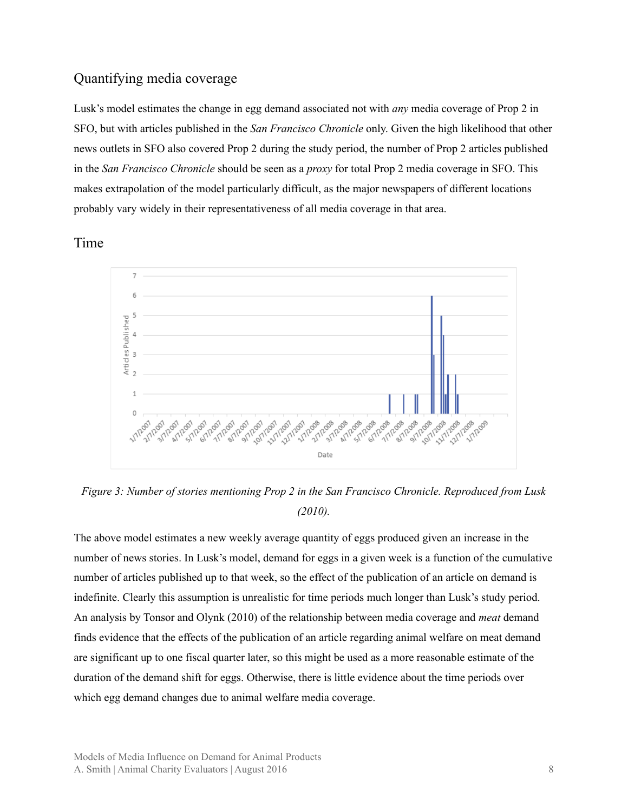#### <span id="page-7-0"></span>Quantifying media coverage

Lusk's model estimates the change in egg demand associated not with *any* media coverage of Prop 2 in SFO, but with articles published in the *San Francisco Chronicle* only. Given the high likelihood that other news outlets in SFO also covered Prop 2 during the study period, the number of Prop 2 articles published in the *San Francisco Chronicle* should be seen as a *proxy* for total Prop 2 media coverage in SFO. This makes extrapolation of the model particularly difficult, as the major newspapers of different locations probably vary widely in their representativeness of all media coverage in that area.

<span id="page-7-1"></span>Time



*Figure 3: Number of stories mentioning Prop 2 in the San Francisco Chronicle. Reproduced from Lusk (2010).*

The above model estimates a new weekly average quantity of eggs produced given an increase in the number of news stories. In Lusk's model, demand for eggs in a given week is a function of the cumulative number of articles published up to that week, so the effect of the publication of an article on demand is indefinite. Clearly this assumption is unrealistic for time periods much longer than Lusk's study period. An analysis by Tonsor and Olynk (2010) of the relationship between media coverage and *meat* demand finds evidence that the effects of the publication of an article regarding animal welfare on meat demand are significant up to one fiscal quarter later, so this might be used as a more reasonable estimate of the duration of the demand shift for eggs. Otherwise, there is little evidence about the time periods over which egg demand changes due to animal welfare media coverage.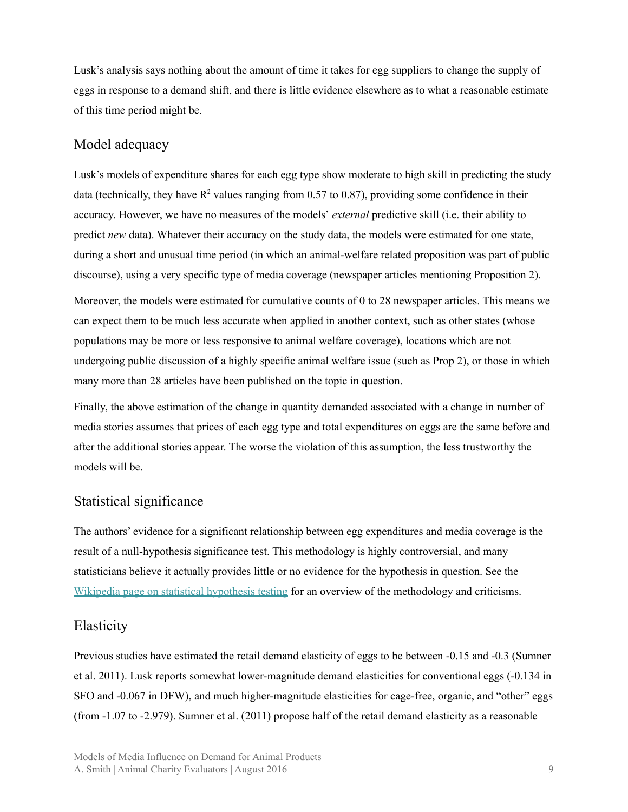Lusk's analysis says nothing about the amount of time it takes for egg suppliers to change the supply of eggs in response to a demand shift, and there is little evidence elsewhere as to what a reasonable estimate of this time period might be.

#### <span id="page-8-0"></span>Model adequacy

Lusk's models of expenditure shares for each egg type show moderate to high skill in predicting the study data (technically, they have  $\mathbb{R}^2$  values ranging from 0.57 to 0.87), providing some confidence in their accuracy. However, we have no measures of the models' *external* predictive skill (i.e. their ability to predict *new* data). Whatever their accuracy on the study data, the models were estimated for one state, during a short and unusual time period (in which an animal-welfare related proposition was part of public discourse), using a very specific type of media coverage (newspaper articles mentioning Proposition 2).

Moreover, the models were estimated for cumulative counts of 0 to 28 newspaper articles. This means we can expect them to be much less accurate when applied in another context, such as other states (whose populations may be more or less responsive to animal welfare coverage), locations which are not undergoing public discussion of a highly specific animal welfare issue (such as Prop 2), or those in which many more than 28 articles have been published on the topic in question.

Finally, the above estimation of the change in quantity demanded associated with a change in number of media stories assumes that prices of each egg type and total expenditures on eggs are the same before and after the additional stories appear. The worse the violation of this assumption, the less trustworthy the models will be.

#### <span id="page-8-1"></span>Statistical significance

The authors' evidence for a significant relationship between egg expenditures and media coverage is the result of a null-hypothesis significance test. This methodology is highly controversial, and many statisticians believe it actually provides little or no evidence for the hypothesis in question. See the Wikipedia page on statistical [hypothesis](https://en.wikipedia.org/wiki/Statistical_hypothesis_testing) testing for an overview of the methodology and criticisms.

#### <span id="page-8-2"></span>Elasticity

Previous studies have estimated the retail demand elasticity of eggs to be between -0.15 and -0.3 (Sumner et al. 2011). Lusk reports somewhat lower-magnitude demand elasticities for conventional eggs (-0.134 in SFO and -0.067 in DFW), and much higher-magnitude elasticities for cage-free, organic, and "other" eggs (from -1.07 to -2.979). Sumner et al. (2011) propose half of the retail demand elasticity as a reasonable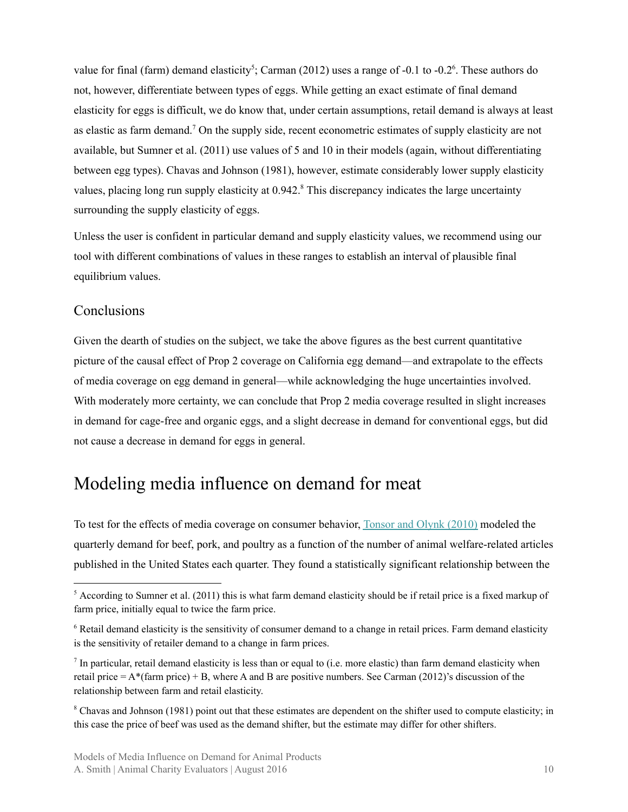value for final (farm) demand elasticity<sup>5</sup>; Carman (2012) uses a range of  $-0.1$  to  $-0.2$ <sup>6</sup>. These authors do not, however, differentiate between types of eggs. While getting an exact estimate of final demand elasticity for eggs is difficult, we do know that, under certain assumptions, retail demand is always at least as elastic as farm demand.<sup>7</sup> On the supply side, recent econometric estimates of supply elasticity are not available, but Sumner et al. (2011) use values of 5 and 10 in their models (again, without differentiating between egg types). Chavas and Johnson (1981), however, estimate considerably lower supply elasticity values, placing long run supply elasticity at 0.942.<sup>8</sup> This discrepancy indicates the large uncertainty surrounding the supply elasticity of eggs.

Unless the user is confident in particular demand and supply elasticity values, we recommend using our tool with different combinations of values in these ranges to establish an interval of plausible final equilibrium values.

#### <span id="page-9-0"></span>Conclusions

Given the dearth of studies on the subject, we take the above figures as the best current quantitative picture of the causal effect of Prop 2 coverage on California egg demand—and extrapolate to the effects of media coverage on egg demand in general—while acknowledging the huge uncertainties involved. With moderately more certainty, we can conclude that Prop 2 media coverage resulted in slight increases in demand for cage-free and organic eggs, and a slight decrease in demand for conventional eggs, but did not cause a decrease in demand for eggs in general.

# <span id="page-9-1"></span>Modeling media influence on demand for meat

To test for the effects of media coverage on consumer behavior, [Tonsor](http://onlinelibrary.wiley.com/doi/10.1111/j.1477-9552.2010.00266.x/abstract) and Olynk (2010) modeled the quarterly demand for beef, pork, and poultry as a function of the number of animal welfare-related articles published in the United States each quarter. They found a statistically significant relationship between the

<sup>&</sup>lt;sup>5</sup> According to Sumner et al. (2011) this is what farm demand elasticity should be if retail price is a fixed markup of farm price, initially equal to twice the farm price.

<sup>6</sup> Retail demand elasticity is the sensitivity of consumer demand to a change in retail prices. Farm demand elasticity is the sensitivity of retailer demand to a change in farm prices.

In particular, retail demand elasticity is less than or equal to (i.e. more elastic) than farm demand elasticity when retail price  $= A^*$ (farm price) + B, where A and B are positive numbers. See Carman (2012)'s discussion of the relationship between farm and retail elasticity.

<sup>&</sup>lt;sup>8</sup> Chavas and Johnson (1981) point out that these estimates are dependent on the shifter used to compute elasticity; in this case the price of beef was used as the demand shifter, but the estimate may differ for other shifters.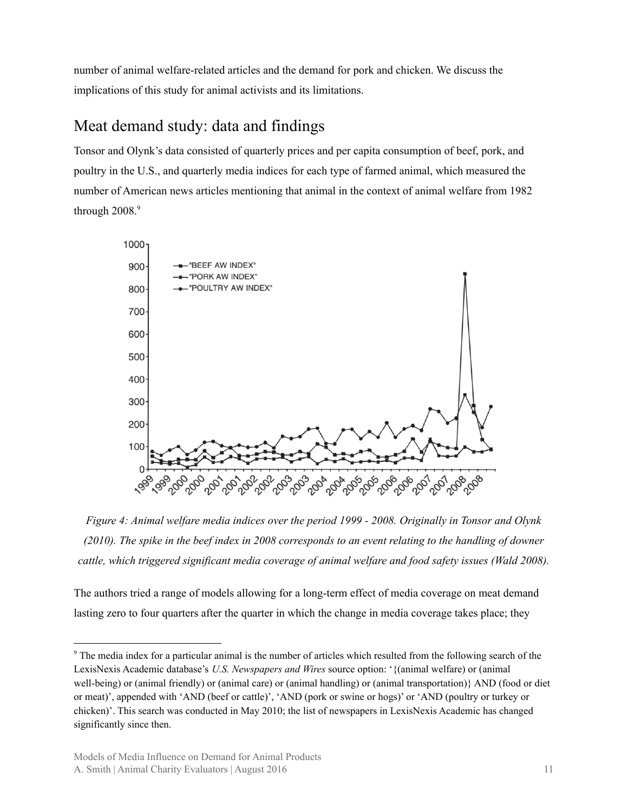number of animal welfare-related articles and the demand for pork and chicken. We discuss the implications of this study for animal activists and its limitations.

# <span id="page-10-0"></span>Meat demand study: data and findings

Tonsor and Olynk's data consisted of quarterly prices and per capita consumption of beef, pork, and poultry in the U.S., and quarterly media indices for each type of farmed animal, which measured the number of American news articles mentioning that animal in the context of animal welfare from 1982 through 2008. 9



*Figure 4: Animal welfare media indices over the period 1999 - 2008. Originally in Tonsor and Olynk* (2010). The spike in the beef index in 2008 corresponds to an event relating to the handling of downer *cattle, which triggered significant media coverage of animal welfare and food safety issues (Wald 2008).*

The authors tried a range of models allowing for a long-term effect of media coverage on meat demand lasting zero to four quarters after the quarter in which the change in media coverage takes place; they

<sup>&</sup>lt;sup>9</sup> The media index for a particular animal is the number of articles which resulted from the following search of the LexisNexis Academic database's *U.S. Newspapers and Wires* source option: '{(animal welfare) or (animal well-being) or (animal friendly) or (animal care) or (animal handling) or (animal transportation)} AND (food or diet or meat)', appended with 'AND (beef or cattle)', 'AND (pork or swine or hogs)' or 'AND (poultry or turkey or chicken)'. This search was conducted in May 2010; the list of newspapers in LexisNexis Academic has changed significantly since then.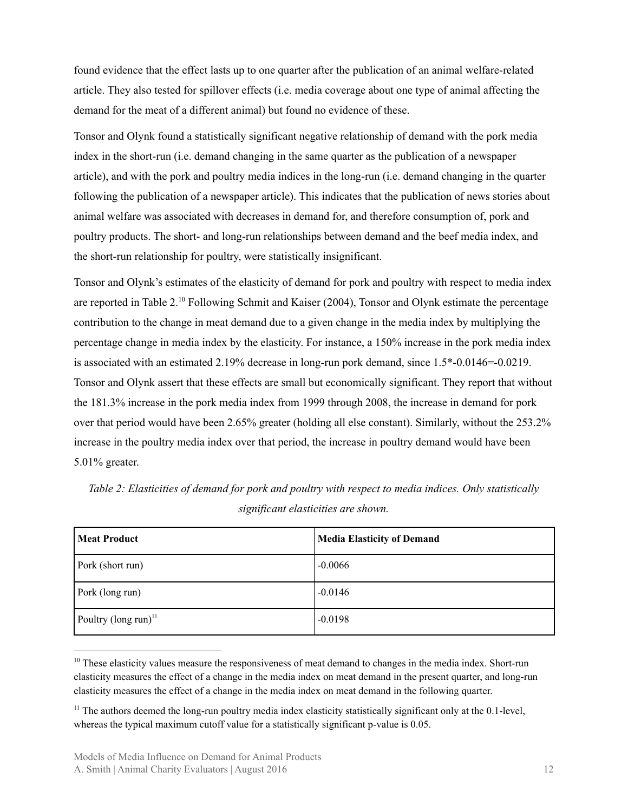found evidence that the effect lasts up to one quarter after the publication of an animal welfare-related article. They also tested for spillover effects (i.e. media coverage about one type of animal affecting the demand for the meat of a different animal) but found no evidence of these.

Tonsor and Olynk found a statistically significant negative relationship of demand with the pork media index in the short-run (i.e. demand changing in the same quarter as the publication of a newspaper article), and with the pork and poultry media indices in the long-run (i.e. demand changing in the quarter following the publication of a newspaper article). This indicates that the publication of news stories about animal welfare was associated with decreases in demand for, and therefore consumption of, pork and poultry products. The short- and long-run relationships between demand and the beef media index, and the short-run relationship for poultry, were statistically insignificant.

Tonsor and Olynk's estimates of the elasticity of demand for pork and poultry with respect to media index are reported in Table 2.<sup>10</sup> Following Schmit and Kaiser (2004), Tonsor and Olynk estimate the percentage contribution to the change in meat demand due to a given change in the media index by multiplying the percentage change in media index by the elasticity. For instance, a 150% increase in the pork media index is associated with an estimated 2.19% decrease in long-run pork demand, since 1.5\*-0.0146=-0.0219. Tonsor and Olynk assert that these effects are small but economically significant. They report that without the 181.3% increase in the pork media index from 1999 through 2008, the increase in demand for pork over that period would have been 2.65% greater (holding all else constant). Similarly, without the 253.2% increase in the poultry media index over that period, the increase in poultry demand would have been 5.01% greater.

| <b>Meat Product</b>              | Media Elasticity of Demand |
|----------------------------------|----------------------------|
| Pork (short run)                 | $-0.0066$                  |
| Pork (long run)                  | $-0.0146$                  |
| Poultry (long run) <sup>11</sup> | $-0.0198$                  |

*Table 2: Elasticities of demand for pork and poultry with respect to media indices. Only statistically significant elasticities are shown.*

<sup>&</sup>lt;sup>10</sup> These elasticity values measure the responsiveness of meat demand to changes in the media index. Short-run elasticity measures the effect of a change in the media index on meat demand in the present quarter, and long-run elasticity measures the effect of a change in the media index on meat demand in the following quarter.

 $11$  The authors deemed the long-run poultry media index elasticity statistically significant only at the 0.1-level, whereas the typical maximum cutoff value for a statistically significant p-value is 0.05.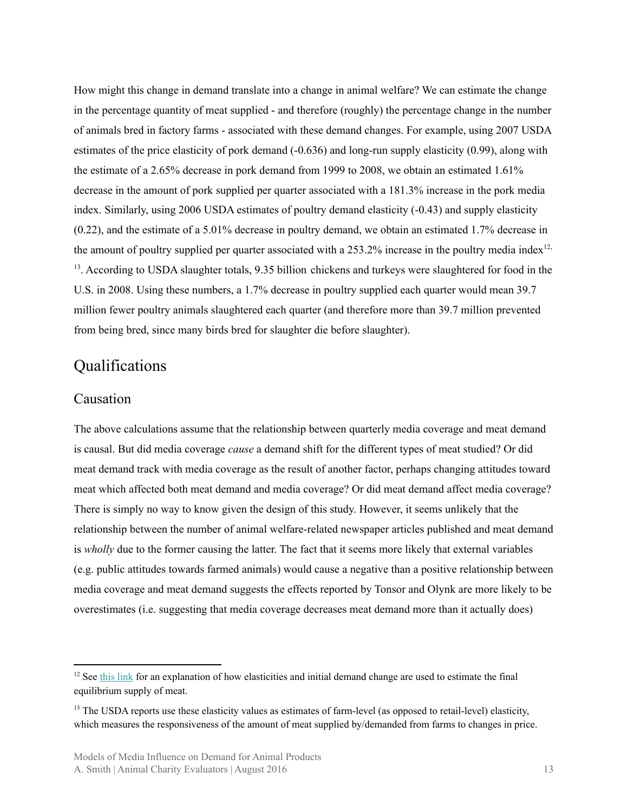How might this change in demand translate into a change in animal welfare? We can estimate the change in the percentage quantity of meat supplied - and therefore (roughly) the percentage change in the number of animals bred in factory farms - associated with these demand changes. For example, using 2007 USDA estimates of the price elasticity of pork demand (-0.636) and long-run supply elasticity (0.99), along with the estimate of a 2.65% decrease in pork demand from 1999 to 2008, we obtain an estimated 1.61% decrease in the amount of pork supplied per quarter associated with a 181.3% increase in the pork media index. Similarly, using 2006 USDA estimates of poultry demand elasticity (-0.43) and supply elasticity (0.22), and the estimate of a 5.01% decrease in poultry demand, we obtain an estimated 1.7% decrease in the amount of poultry supplied per quarter associated with a 253.2% increase in the poultry media index<sup>12,</sup> <sup>13</sup>. According to USDA slaughter totals, 9.35 billion chickens and turkeys were slaughtered for food in the U.S. in 2008. Using these numbers, a 1.7% decrease in poultry supplied each quarter would mean 39.7 million fewer poultry animals slaughtered each quarter (and therefore more than 39.7 million prevented from being bred, since many birds bred for slaughter die before slaughter).

### <span id="page-12-0"></span>Qualifications

#### <span id="page-12-1"></span>Causation

The above calculations assume that the relationship between quarterly media coverage and meat demand is causal. But did media coverage *cause* a demand shift for the different types of meat studied? Or did meat demand track with media coverage as the result of another factor, perhaps changing attitudes toward meat which affected both meat demand and media coverage? Or did meat demand affect media coverage? There is simply no way to know given the design of this study. However, it seems unlikely that the relationship between the number of animal welfare-related newspaper articles published and meat demand is *wholly* due to the former causing the latter. The fact that it seems more likely that external variables (e.g. public attitudes towards farmed animals) would cause a negative than a positive relationship between media coverage and meat demand suggests the effects reported by Tonsor and Olynk are more likely to be overestimates (i.e. suggesting that media coverage decreases meat demand more than it actually does)

 $12$  See this [link](https://www.animalcharityevaluators.org/wp-content/uploads/2013/12/cef.pdf) for an explanation of how elasticities and initial demand change are used to estimate the final equilibrium supply of meat.

<sup>&</sup>lt;sup>13</sup> The USDA reports use these elasticity values as estimates of farm-level (as opposed to retail-level) elasticity, which measures the responsiveness of the amount of meat supplied by/demanded from farms to changes in price.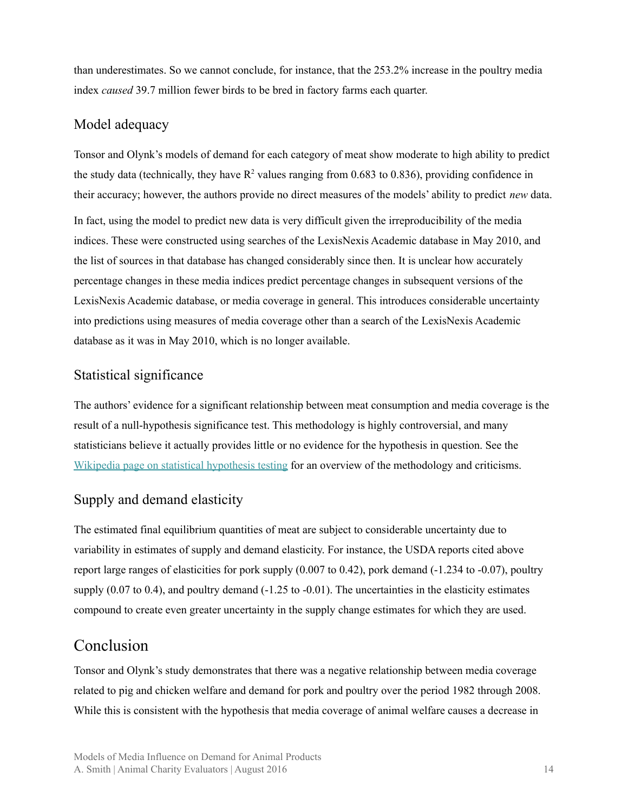than underestimates. So we cannot conclude, for instance, that the 253.2% increase in the poultry media index *caused* 39.7 million fewer birds to be bred in factory farms each quarter.

#### <span id="page-13-0"></span>Model adequacy

Tonsor and Olynk's models of demand for each category of meat show moderate to high ability to predict the study data (technically, they have  $R^2$  values ranging from 0.683 to 0.836), providing confidence in their accuracy; however, the authors provide no direct measures of the models' ability to predict *new* data.

In fact, using the model to predict new data is very difficult given the irreproducibility of the media indices. These were constructed using searches of the LexisNexis Academic database in May 2010, and the list of sources in that database has changed considerably since then. It is unclear how accurately percentage changes in these media indices predict percentage changes in subsequent versions of the LexisNexis Academic database, or media coverage in general. This introduces considerable uncertainty into predictions using measures of media coverage other than a search of the LexisNexis Academic database as it was in May 2010, which is no longer available.

#### <span id="page-13-1"></span>Statistical significance

The authors' evidence for a significant relationship between meat consumption and media coverage is the result of a null-hypothesis significance test. This methodology is highly controversial, and many statisticians believe it actually provides little or no evidence for the hypothesis in question. See the Wikipedia page on statistical [hypothesis](https://en.wikipedia.org/wiki/Statistical_hypothesis_testing) testing for an overview of the methodology and criticisms.

#### <span id="page-13-2"></span>Supply and demand elasticity

The estimated final equilibrium quantities of meat are subject to considerable uncertainty due to variability in estimates of supply and demand elasticity. For instance, the USDA reports cited above report large ranges of elasticities for pork supply (0.007 to 0.42), pork demand (-1.234 to -0.07), poultry supply  $(0.07 \text{ to } 0.4)$ , and poultry demand  $(-1.25 \text{ to } -0.01)$ . The uncertainties in the elasticity estimates compound to create even greater uncertainty in the supply change estimates for which they are used.

### <span id="page-13-3"></span>Conclusion

Tonsor and Olynk's study demonstrates that there was a negative relationship between media coverage related to pig and chicken welfare and demand for pork and poultry over the period 1982 through 2008. While this is consistent with the hypothesis that media coverage of animal welfare causes a decrease in